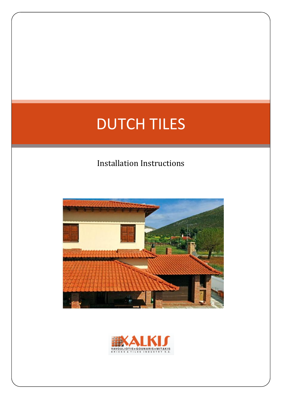# DUTCH TILES

# Installation Instructions



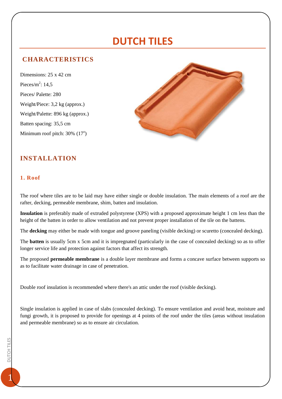# **DUTCH TILES**

## **CHARACTERISTICS**

Dimensions: 25 x 42 cm Pieces/m<sup>2</sup>:  $14,5$ Pieces/ Palette: 280 Weight/Piece: 3,2 kg (approx.) Weight/Palette: 896 kg (approx.) Batten spacing: 35,5 cm Minimum roof pitch: 30% (17<sup>o</sup>)



## **INSTALLATION**

#### **1. Roof**

The roof where tiles are to be laid may have either single or double insulation. The main elements of a roof are the rafter, decking, permeable membrane, shim, batten and insulation.

**Insulation** is preferably made of extruded polystyrene (XPS) with a proposed approximate height 1 cm less than the height of the batten in order to allow ventilation and not prevent proper installation of the tile on the battens.

The **decking** may either be made with tongue and groove paneling (visible decking) or scuretto (concealed decking).

The **batten** is usually 5cm x 5cm and it is impregnated (particularly in the case of concealed decking) so as to offer longer service life and protection against factors that affect its strength.

The proposed **permeable membrane** is a double layer membrane and forms a concave surface between supports so as to facilitate water drainage in case of penetration.

Double roof insulation is recommended where there's an attic under the roof (visible decking).

Single insulation is applied in case of slabs (concealed decking). To ensure ventilation and avoid heat, moisture and fungi growth, it is proposed to provide for openings at 4 points of the roof under the tiles (areas without insulation and permeable membrane) so as to ensure air circulation.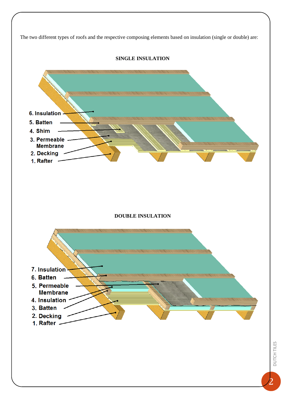The two different types of roofs and the respective composing elements based on insulation (single or double) are:



**SINGLE INSULATION**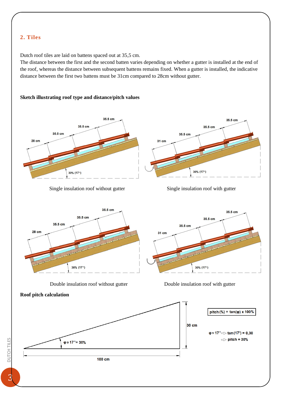### **2. Tiles**

Dutch roof tiles are laid on battens spaced out at 35,5 cm.

The distance between the first and the second batten varies depending on whether a gutter is installed at the end of the roof, whereas the distance between subsequent battens remains fixed. When a gutter is installed, the indicative distance between the first two battens must be 31cm compared to 28cm without gutter.

#### **Sketch illustrating roof type and distance/pitch values**